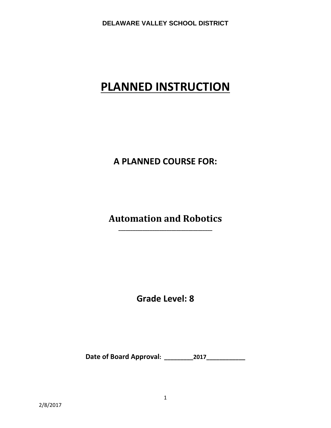# **PLANNED INSTRUCTION**

# **A PLANNED COURSE FOR:**

# **Automation and Robotics \_\_\_\_\_\_\_\_\_\_\_\_\_\_\_\_\_\_\_\_\_\_\_\_\_\_\_\_\_\_\_\_\_\_\_\_\_\_\_**

**Grade Level: 8**

**Date of Board Approval: \_\_\_\_\_\_\_\_\_2017\_\_\_\_\_\_\_\_\_\_\_\_**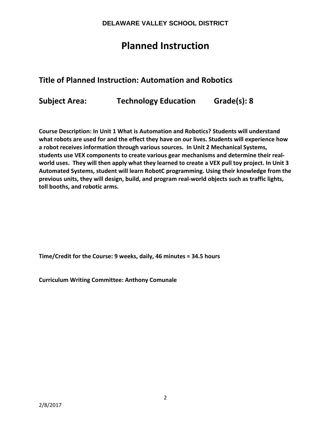# **Planned Instruction**

# **Title of Planned Instruction: Automation and Robotics**

**Subject Area: Technology Education Grade(s): 8**

**Course Description: In Unit 1 What is Automation and Robotics? Students will understand what robots are used for and the effect they have on our lives. Students will experience how a robot receives information through various sources. In Unit 2 Mechanical Systems, students use VEX components to create various gear mechanisms and determine their real‐** world uses. They will then apply what they learned to create a VEX pull toy project. In Unit 3 **Automated Systems, student will learn RobotC programming. Using their knowledge from the previous units, they will design, build, and program real‐world objects such as traffic lights, toll booths, and robotic arms.**

**Time/Credit for the Course: 9 weeks, daily, 46 minutes = 34.5 hours**

**Curriculum Writing Committee: Anthony Comunale**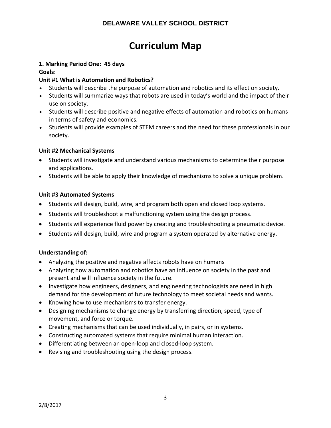# **Curriculum Map**

#### **1. Marking Period One: 45 days**

#### **Goals:**

### **Unit #1 What is Automation and Robotics?**

- Students will describe the purpose of automation and robotics and its effect on society.
- Students will summarize ways that robots are used in today's world and the impact of their use on society.
- Students will describe positive and negative effects of automation and robotics on humans in terms of safety and economics.
- Students will provide examples of STEM careers and the need for these professionals in our society.

#### **Unit #2 Mechanical Systems**

- Students will investigate and understand various mechanisms to determine their purpose and applications.
- Students will be able to apply their knowledge of mechanisms to solve a unique problem.

#### **Unit #3 Automated Systems**

- Students will design, build, wire, and program both open and closed loop systems.
- Students will troubleshoot a malfunctioning system using the design process.
- Students will experience fluid power by creating and troubleshooting a pneumatic device.
- Students will design, build, wire and program a system operated by alternative energy.

#### **Understanding of:**

- Analyzing the positive and negative affects robots have on humans
- Analyzing how automation and robotics have an influence on society in the past and present and will influence society in the future.
- Investigate how engineers, designers, and engineering technologists are need in high demand for the development of future technology to meet societal needs and wants.
- Knowing how to use mechanisms to transfer energy.
- Designing mechanisms to change energy by transferring direction, speed, type of movement, and force or torque.
- Creating mechanisms that can be used individually, in pairs, or in systems.
- Constructing automated systems that require minimal human interaction.
- Differentiating between an open-loop and closed-loop system.
- Revising and troubleshooting using the design process.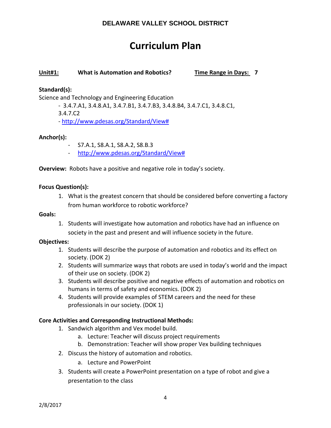# **Curriculum Plan**

#### **Unit#1: What is Automation and Robotics? Time Range in Days: 7**

#### **Standard(s):**

Science and Technology and Engineering Education

‐ 3.4.7.A1, 3.4.8.A1, 3.4.7.B1, 3.4.7.B3, 3.4.8.B4, 3.4.7.C1, 3.4.8.C1, 3.4.7.C2

‐ http://www.pdesas.org/Standard/View#

#### **Anchor(s):**

- ‐ S7.A.1, S8.A.1, S8.A.2, S8.B.3
- ‐ http://www.pdesas.org/Standard/View#

**Overview:** Robots have a positive and negative role in today's society.

#### **Focus Question(s):**

1. What is the greatest concern that should be considered before converting a factory from human workforce to robotic workforce?

#### **Goals:**

1. Students will investigate how automation and robotics have had an influence on society in the past and present and will influence society in the future.

#### **Objectives:**

- 1. Students will describe the purpose of automation and robotics and its effect on society. (DOK 2)
- 2. Students will summarize ways that robots are used in today's world and the impact of their use on society. (DOK 2)
- 3. Students will describe positive and negative effects of automation and robotics on humans in terms of safety and economics. (DOK 2)
- 4. Students will provide examples of STEM careers and the need for these professionals in our society. (DOK 1)

#### **Core Activities and Corresponding Instructional Methods:**

- 1. Sandwich algorithm and Vex model build.
	- a. Lecture: Teacher will discuss project requirements
	- b. Demonstration: Teacher will show proper Vex building techniques
- 2. Discuss the history of automation and robotics.
	- a. Lecture and PowerPoint
- 3. Students will create a PowerPoint presentation on a type of robot and give a presentation to the class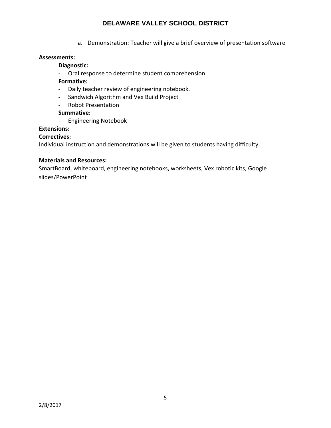a. Demonstration: Teacher will give a brief overview of presentation software

#### **Assessments:**

#### **Diagnostic:**

‐ Oral response to determine student comprehension

#### **Formative:**

- ‐ Daily teacher review of engineering notebook.
- ‐ Sandwich Algorithm and Vex Build Project
- ‐ Robot Presentation

#### **Summative:**

‐ Engineering Notebook

#### **Extensions:**

#### **Correctives:**

Individual instruction and demonstrations will be given to students having difficulty

#### **Materials and Resources:**

SmartBoard, whiteboard, engineering notebooks, worksheets, Vex robotic kits, Google slides/PowerPoint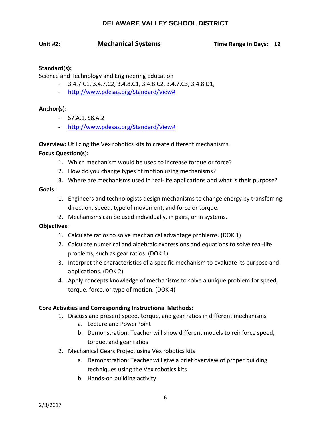#### **Unit #2: Mechanical Systems Time Range in Days: 12**

#### **Standard(s):**

Science and Technology and Engineering Education

- ‐ 3.4.7.C1, 3.4.7.C2, 3.4.8.C1, 3.4.8.C2, 3.4.7.C3, 3.4.8.D1,
- ‐ http://www.pdesas.org/Standard/View#

#### **Anchor(s):**

- ‐ S7.A.1, S8.A.2
- ‐ http://www.pdesas.org/Standard/View#

**Overview:** Utilizing the Vex robotics kits to create different mechanisms.

#### **Focus Question(s):**

- 1. Which mechanism would be used to increase torque or force?
- 2. How do you change types of motion using mechanisms?
- 3. Where are mechanisms used in real‐life applications and what is their purpose?

#### **Goals:**

- 1. Engineers and technologists design mechanisms to change energy by transferring direction, speed, type of movement, and force or torque.
- 2. Mechanisms can be used individually, in pairs, or in systems.

#### **Objectives:**

- 1. Calculate ratios to solve mechanical advantage problems. (DOK 1)
- 2. Calculate numerical and algebraic expressions and equations to solve real-life problems, such as gear ratios. (DOK 1)
- 3. Interpret the characteristics of a specific mechanism to evaluate its purpose and applications. (DOK 2)
- 4. Apply concepts knowledge of mechanisms to solve a unique problem for speed, torque, force, or type of motion. (DOK 4)

#### **Core Activities and Corresponding Instructional Methods:**

- 1. Discuss and present speed, torque, and gear ratios in different mechanisms
	- a. Lecture and PowerPoint
	- b. Demonstration: Teacher will show different models to reinforce speed, torque, and gear ratios
- 2. Mechanical Gears Project using Vex robotics kits
	- a. Demonstration: Teacher will give a brief overview of proper building techniques using the Vex robotics kits
	- b. Hands‐on building activity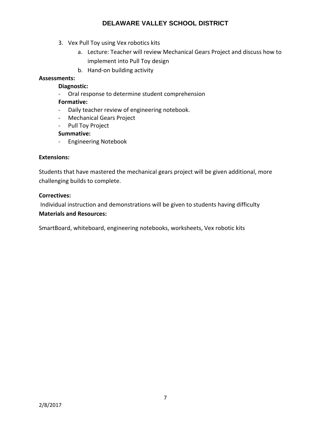- 3. Vex Pull Toy using Vex robotics kits
	- a. Lecture: Teacher will review Mechanical Gears Project and discuss how to implement into Pull Toy design
	- b. Hand‐on building activity

#### **Assessments:**

#### **Diagnostic:**

‐ Oral response to determine student comprehension

#### **Formative:**

- ‐ Daily teacher review of engineering notebook.
- ‐ Mechanical Gears Project
- ‐ Pull Toy Project

#### **Summative:**

‐ Engineering Notebook

#### **Extensions:**

Students that have mastered the mechanical gears project will be given additional, more challenging builds to complete.

#### **Correctives:**

Individual instruction and demonstrations will be given to students having difficulty **Materials and Resources:** 

SmartBoard, whiteboard, engineering notebooks, worksheets, Vex robotic kits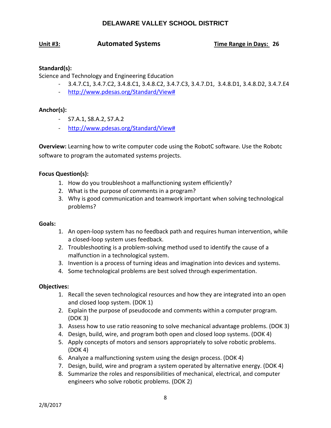#### **Unit #3: Automated Systems Time Range in Days: 26**

#### **Standard(s):**

Science and Technology and Engineering Education

- ‐ 3.4.7.C1, 3.4.7.C2, 3.4.8.C1, 3.4.8.C2, 3.4.7.C3, 3.4.7.D1, 3.4.8.D1, 3.4.8.D2, 3.4.7.E4
- ‐ http://www.pdesas.org/Standard/View#

#### **Anchor(s):**

- ‐ S7.A.1, S8.A.2, S7.A.2
- ‐ http://www.pdesas.org/Standard/View#

**Overview:** Learning how to write computer code using the RobotC software. Use the Robotc software to program the automated systems projects.

#### **Focus Question(s):**

- 1. How do you troubleshoot a malfunctioning system efficiently?
- 2. What is the purpose of comments in a program?
- 3. Why is good communication and teamwork important when solving technological problems?

#### **Goals:**

- 1. An open‐loop system has no feedback path and requires human intervention, while a closed‐loop system uses feedback.
- 2. Troubleshooting is a problem‐solving method used to identify the cause of a malfunction in a technological system.
- 3. Invention is a process of turning ideas and imagination into devices and systems.
- 4. Some technological problems are best solved through experimentation.

#### **Objectives:**

- 1. Recall the seven technological resources and how they are integrated into an open and closed loop system. (DOK 1)
- 2. Explain the purpose of pseudocode and comments within a computer program. (DOK 3)
- 3. Assess how to use ratio reasoning to solve mechanical advantage problems. (DOK 3)
- 4. Design, build, wire, and program both open and closed loop systems. (DOK 4)
- 5. Apply concepts of motors and sensors appropriately to solve robotic problems. (DOK 4)
- 6. Analyze a malfunctioning system using the design process. (DOK 4)
- 7. Design, build, wire and program a system operated by alternative energy. (DOK 4)
- 8. Summarize the roles and responsibilities of mechanical, electrical, and computer engineers who solve robotic problems. (DOK 2)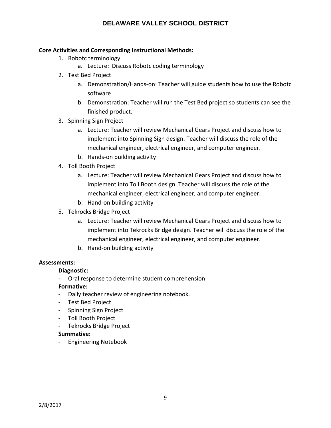#### **Core Activities and Corresponding Instructional Methods:**

- 1. Robotc terminology
	- a. Lecture: Discuss Robotc coding terminology
- 2. Test Bed Project
	- a. Demonstration/Hands‐on: Teacher will guide students how to use the Robotc software
	- b. Demonstration: Teacher will run the Test Bed project so students can see the finished product.
- 3. Spinning Sign Project
	- a. Lecture: Teacher will review Mechanical Gears Project and discuss how to implement into Spinning Sign design. Teacher will discuss the role of the mechanical engineer, electrical engineer, and computer engineer.
	- b. Hands‐on building activity
- 4. Toll Booth Project
	- a. Lecture: Teacher will review Mechanical Gears Project and discuss how to implement into Toll Booth design. Teacher will discuss the role of the mechanical engineer, electrical engineer, and computer engineer.
	- b. Hand‐on building activity
- 5. Tekrocks Bridge Project
	- a. Lecture: Teacher will review Mechanical Gears Project and discuss how to implement into Tekrocks Bridge design. Teacher will discuss the role of the mechanical engineer, electrical engineer, and computer engineer.
	- b. Hand‐on building activity

#### **Assessments:**

#### **Diagnostic:**

‐ Oral response to determine student comprehension

#### **Formative:**

- ‐ Daily teacher review of engineering notebook.
- ‐ Test Bed Project
- ‐ Spinning Sign Project
- ‐ Toll Booth Project
- ‐ Tekrocks Bridge Project

#### **Summative:**

‐ Engineering Notebook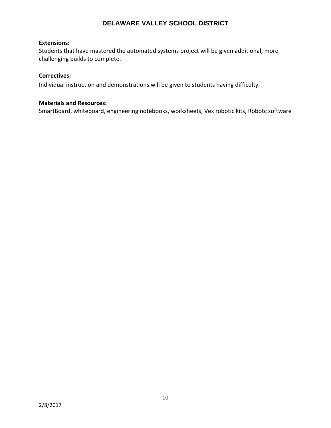#### **Extensions:**

Students that have mastered the automated systems project will be given additional, more challenging builds to complete.

#### **Correctives:**

Individual instruction and demonstrations will be given to students having difficulty.

#### **Materials and Resources:**

SmartBoard, whiteboard, engineering notebooks, worksheets, Vex robotic kits, Robotc software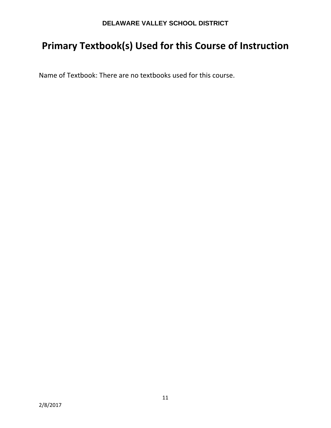# **Primary Textbook(s) Used for this Course of Instruction**

Name of Textbook: There are no textbooks used for this course.